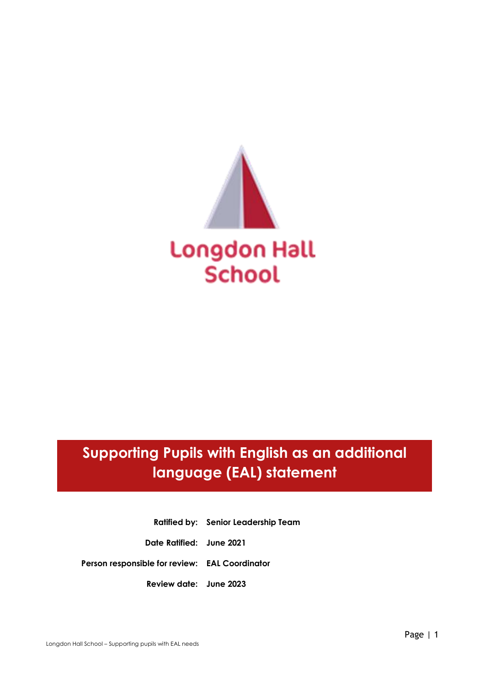

# **Supporting Pupils with English as an additional language (EAL) statement**

**Ratified by: Senior Leadership Team Date Ratified: June 2021 Person responsible for review: EAL Coordinator Review date: June 2023**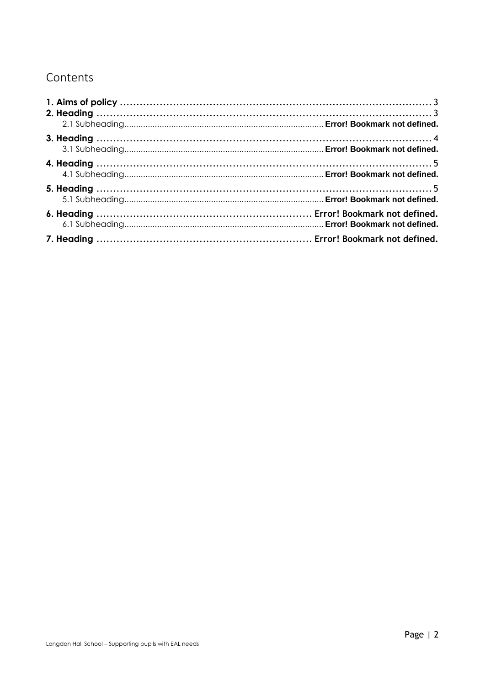## Contents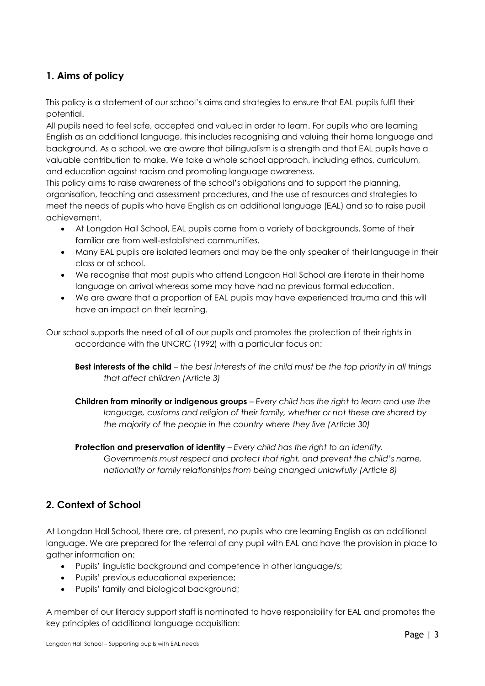### <span id="page-2-0"></span>**1. Aims of policy**

This policy is a statement of our school's aims and strategies to ensure that EAL pupils fulfil their potential.

All pupils need to feel safe, accepted and valued in order to learn. For pupils who are learning English as an additional language, this includes recognising and valuing their home language and background. As a school, we are aware that bilingualism is a strength and that EAL pupils have a valuable contribution to make. We take a whole school approach, including ethos, curriculum, and education against racism and promoting language awareness.

This policy aims to raise awareness of the school's obligations and to support the planning, organisation, teaching and assessment procedures, and the use of resources and strategies to meet the needs of pupils who have English as an additional language (EAL) and so to raise pupil achievement.

- At Longdon Hall School, EAL pupils come from a variety of backgrounds. Some of their familiar are from well-established communities.
- Many EAL pupils are isolated learners and may be the only speaker of their language in their class or at school.
- We recognise that most pupils who attend Longdon Hall School are literate in their home language on arrival whereas some may have had no previous formal education.
- We are aware that a proportion of EAL pupils may have experienced trauma and this will have an impact on their learning.

Our school supports the need of all of our pupils and promotes the protection of their rights in accordance with the UNCRC (1992) with a particular focus on:

**Best interests of the child** – *the best interests of the child must be the top priority in all things that affect children (Article 3)*

**Children from minority or indigenous groups** – *Every child has the right to learn and use the language, customs and religion of their family, whether or not these are shared by the majority of the people in the country where they live (Article 30)*

**Protection and preservation of identity** – *Every child has the right to an identity. Governments must respect and protect that right, and prevent the child's name, nationality or family relationships from being changed unlawfully (Article 8)*

#### <span id="page-2-1"></span>**2. Context of School**

At Longdon Hall School, there are, at present, no pupils who are learning English as an additional language. We are prepared for the referral of any pupil with EAL and have the provision in place to gather information on:

- Pupils' linguistic background and competence in other language/s;
- Pupils' previous educational experience;
- Pupils' family and biological background;

A member of our literacy support staff is nominated to have responsibility for EAL and promotes the key principles of additional language acquisition: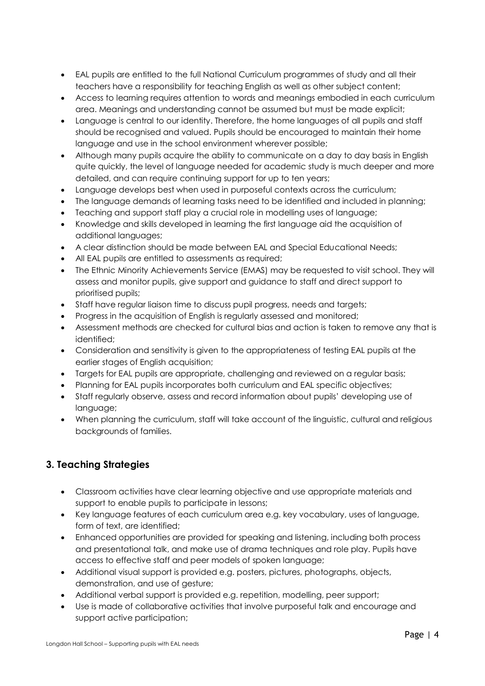- EAL pupils are entitled to the full National Curriculum programmes of study and all their teachers have a responsibility for teaching English as well as other subject content;
- Access to learning requires attention to words and meanings embodied in each curriculum area. Meanings and understanding cannot be assumed but must be made explicit;
- Language is central to our identity. Therefore, the home languages of all pupils and staff should be recognised and valued. Pupils should be encouraged to maintain their home language and use in the school environment wherever possible;
- Although many pupils acquire the ability to communicate on a day to day basis in English quite quickly, the level of language needed for academic study is much deeper and more detailed, and can require continuing support for up to ten years;
- Language develops best when used in purposeful contexts across the curriculum;
- The language demands of learning tasks need to be identified and included in planning;
- Teaching and support staff play a crucial role in modelling uses of language;
- Knowledge and skills developed in learning the first language aid the acquisition of additional languages;
- A clear distinction should be made between EAL and Special Educational Needs;
- All EAL pupils are entitled to assessments as required;
- The Ethnic Minority Achievements Service (EMAS) may be requested to visit school. They will assess and monitor pupils, give support and guidance to staff and direct support to prioritised pupils;
- Staff have regular liaison time to discuss pupil progress, needs and targets;
- Progress in the acquisition of English is regularly assessed and monitored;
- Assessment methods are checked for cultural bias and action is taken to remove any that is identified;
- Consideration and sensitivity is given to the appropriateness of testing EAL pupils at the earlier stages of English acquisition;
- Targets for EAL pupils are appropriate, challenging and reviewed on a regular basis;
- Planning for EAL pupils incorporates both curriculum and EAL specific objectives;
- Staff regularly observe, assess and record information about pupils' developing use of language;
- When planning the curriculum, staff will take account of the linguistic, cultural and religious backgrounds of families.

#### <span id="page-3-0"></span>**3. Teaching Strategies**

- Classroom activities have clear learning objective and use appropriate materials and support to enable pupils to participate in lessons;
- Key language features of each curriculum area e.g. key vocabulary, uses of language, form of text, are identified;
- Enhanced opportunities are provided for speaking and listening, including both process and presentational talk, and make use of drama techniques and role play. Pupils have access to effective staff and peer models of spoken language;
- Additional visual support is provided e.g. posters, pictures, photographs, objects, demonstration, and use of gesture;
- Additional verbal support is provided e.g. repetition, modelling, peer support;
- Use is made of collaborative activities that involve purposeful talk and encourage and support active participation;